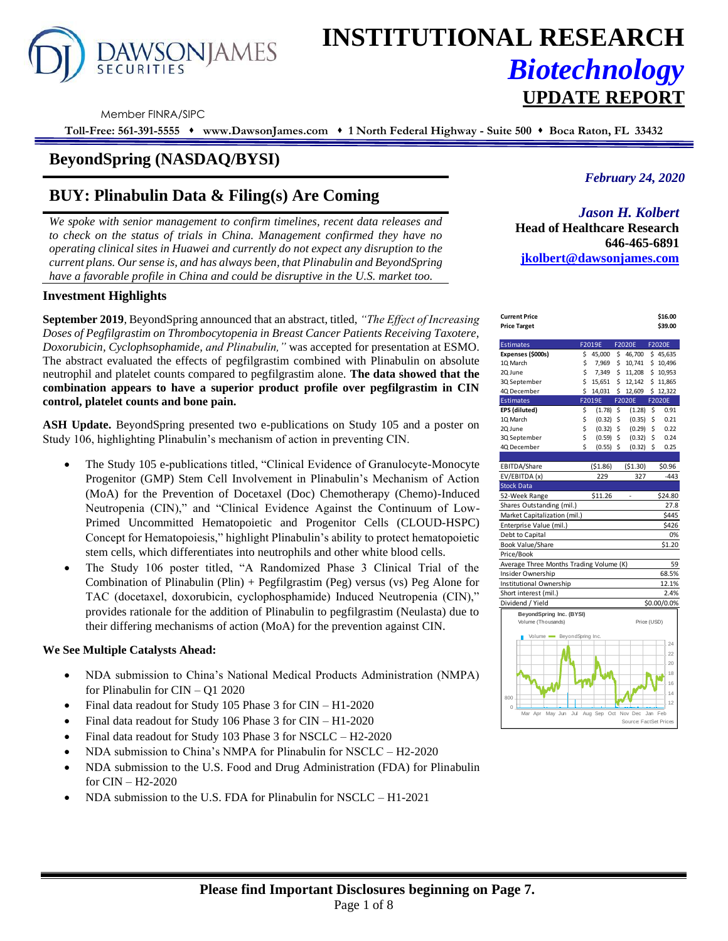# **AWSONJAMES SECURITIES**

# **INSTITUTIONAL RESEARCH** *Biotechnology* **UPDATE REPORT**

Member FINRA/SIPC

**Toll-Free: 561-391-5555** ⬧ **www.DawsonJames.com** ⬧ **1 North Federal Highway - Suite 500** ⬧ **Boca Raton, FL 33432**

# **BeyondSpring (NASDAQ/BYSI)**

# **BUY: Plinabulin Data & Filing(s) Are Coming**

*We spoke with senior management to confirm timelines, recent data releases and to check on the status of trials in China. Management confirmed they have no operating clinical sites in Huawei and currently do not expect any disruption to the current plans. Our sense is, and has always been, that Plinabulin and BeyondSpring have a favorable profile in China and could be disruptive in the U.S. market too.*

### **Investment Highlights**

**September 2019**, BeyondSpring announced that an abstract, titled, *"The Effect of Increasing Doses of Pegfilgrastim on Thrombocytopenia in Breast Cancer Patients Receiving Taxotere, Doxorubicin, Cyclophsophamide, and Plinabulin,"* was accepted for presentation at ESMO. The abstract evaluated the effects of pegfilgrastim combined with Plinabulin on absolute neutrophil and platelet counts compared to pegfilgrastim alone. **The data showed that the combination appears to have a superior product profile over pegfilgrastim in CIN control, platelet counts and bone pain.**

**ASH Update.** BeyondSpring presented two e-publications on Study 105 and a poster on Study 106, highlighting Plinabulin's mechanism of action in preventing CIN.

- The Study 105 e-publications titled, "Clinical Evidence of Granulocyte-Monocyte Progenitor (GMP) Stem Cell Involvement in Plinabulin's Mechanism of Action (MoA) for the Prevention of Docetaxel (Doc) Chemotherapy (Chemo)-Induced Neutropenia (CIN)," and "Clinical Evidence Against the Continuum of Low-Primed Uncommitted Hematopoietic and Progenitor Cells (CLOUD-HSPC) Concept for Hematopoiesis," highlight Plinabulin's ability to protect hematopoietic stem cells, which differentiates into neutrophils and other white blood cells.
- The Study 106 poster titled, "A Randomized Phase 3 Clinical Trial of the Combination of Plinabulin (Plin) + Pegfilgrastim (Peg) versus (vs) Peg Alone for TAC (docetaxel, doxorubicin, cyclophosphamide) Induced Neutropenia (CIN)," provides rationale for the addition of Plinabulin to pegfilgrastim (Neulasta) due to their differing mechanisms of action (MoA) for the prevention against CIN.

#### **We See Multiple Catalysts Ahead:**

- NDA submission to China's National Medical Products Administration (NMPA) for Plinabulin for CIN – Q1 2020
- Final data readout for Study 105 Phase 3 for CIN H1-2020
- Final data readout for Study 106 Phase 3 for CIN H1-2020
- Final data readout for Study 103 Phase 3 for NSCLC H2-2020
- NDA submission to China's NMPA for Plinabulin for NSCLC H2-2020
- NDA submission to the U.S. Food and Drug Administration (FDA) for Plinabulin for CIN – H2-2020
- NDA submission to the U.S. FDA for Plinabulin for NSCLC H1-2021

## *February 24, 2020*

## *Jason H. Kolbert*

**Head of Healthcare Research 646-465-6891 [jkolbert@dawsonjames.com](mailto:jkolbert@dawsonjames.com)**

| \$39.00<br><b>Price Target</b><br><b>Estimates</b><br>F2019E<br><b>F2020E</b><br>F2020E<br>Expenses (\$000s)<br>45,000<br>\$46,700<br>\$45,635<br>\$.<br>10 March<br>\$<br>7,969<br>Ś.<br>10,741<br>\$10,496<br>\$<br>Ś.<br>7,349<br>11.208<br>\$10.953<br>20 June<br>\$<br>15,651<br>\$<br>12,142<br>\$11,865<br>3Q September<br>Ś.<br>4Q December<br>Ś.<br>12,609<br>\$12,322<br>14,031<br><b>Estimates</b><br>F2019E<br>F2020E<br>F2020E<br>EPS (diluted)<br>\$<br>$(1.78)$ \$<br>\$<br>0.91<br>(1.28)<br>\$<br>(0.32)<br>\$<br>\$<br>0.21<br>1Q March<br>(0.35)<br>\$<br>\$<br>\$<br>2Q June<br>(0.32)<br>(0.29)<br>0.22<br>\$<br>\$<br>(0.59)<br>\$<br>0.24<br>3Q September<br>(0.32)<br>Ś<br>4Q December<br>\$<br>(0.32)<br>\$<br>0.25<br>(0.55)<br>(51.30)<br>EBITDA/Share<br>( \$1.86)<br>\$0.96<br>EV/EBITDA (x)<br>229<br>327<br>$-443$<br><b>Stock Data</b><br>\$11.26<br>\$24.80<br>52-Week Range<br>27.8<br>Shares Outstanding (mil.)<br>Market Capitalization (mil.)<br>\$445<br>\$426<br>Enterprise Value (mil.)<br>Debt to Capital<br>0%<br><b>Book Value/Share</b><br>\$1.20<br>Price/Book<br>Average Three Months Trading Volume (K)<br>59<br>Insider Ownership<br>68.5%<br>Institutional Ownership<br>12.1%<br>2.4%<br>Short interest (mil.)<br>Dividend / Yield<br>\$0.00/0.0%<br>BeyondSpring Inc. (BYSI)<br>Volume (Thousands)<br>Price (USD)<br>Volume BeyondSpring Inc.<br>24<br>22<br>20<br>18<br>16<br>14<br>800<br>12<br>$\Omega$<br>Jul<br>Nov Dec<br>Jan<br>Mar Apr<br>May Jun<br>Aug Sep<br>Oct<br>Feb<br>Source: FactSet Prices | <b>Current Price</b> |  |  | \$16.00 |
|----------------------------------------------------------------------------------------------------------------------------------------------------------------------------------------------------------------------------------------------------------------------------------------------------------------------------------------------------------------------------------------------------------------------------------------------------------------------------------------------------------------------------------------------------------------------------------------------------------------------------------------------------------------------------------------------------------------------------------------------------------------------------------------------------------------------------------------------------------------------------------------------------------------------------------------------------------------------------------------------------------------------------------------------------------------------------------------------------------------------------------------------------------------------------------------------------------------------------------------------------------------------------------------------------------------------------------------------------------------------------------------------------------------------------------------------------------------------------------------------------------------------------------------------------------------|----------------------|--|--|---------|
|                                                                                                                                                                                                                                                                                                                                                                                                                                                                                                                                                                                                                                                                                                                                                                                                                                                                                                                                                                                                                                                                                                                                                                                                                                                                                                                                                                                                                                                                                                                                                                |                      |  |  |         |
|                                                                                                                                                                                                                                                                                                                                                                                                                                                                                                                                                                                                                                                                                                                                                                                                                                                                                                                                                                                                                                                                                                                                                                                                                                                                                                                                                                                                                                                                                                                                                                |                      |  |  |         |
|                                                                                                                                                                                                                                                                                                                                                                                                                                                                                                                                                                                                                                                                                                                                                                                                                                                                                                                                                                                                                                                                                                                                                                                                                                                                                                                                                                                                                                                                                                                                                                |                      |  |  |         |
|                                                                                                                                                                                                                                                                                                                                                                                                                                                                                                                                                                                                                                                                                                                                                                                                                                                                                                                                                                                                                                                                                                                                                                                                                                                                                                                                                                                                                                                                                                                                                                |                      |  |  |         |
|                                                                                                                                                                                                                                                                                                                                                                                                                                                                                                                                                                                                                                                                                                                                                                                                                                                                                                                                                                                                                                                                                                                                                                                                                                                                                                                                                                                                                                                                                                                                                                |                      |  |  |         |
|                                                                                                                                                                                                                                                                                                                                                                                                                                                                                                                                                                                                                                                                                                                                                                                                                                                                                                                                                                                                                                                                                                                                                                                                                                                                                                                                                                                                                                                                                                                                                                |                      |  |  |         |
|                                                                                                                                                                                                                                                                                                                                                                                                                                                                                                                                                                                                                                                                                                                                                                                                                                                                                                                                                                                                                                                                                                                                                                                                                                                                                                                                                                                                                                                                                                                                                                |                      |  |  |         |
|                                                                                                                                                                                                                                                                                                                                                                                                                                                                                                                                                                                                                                                                                                                                                                                                                                                                                                                                                                                                                                                                                                                                                                                                                                                                                                                                                                                                                                                                                                                                                                |                      |  |  |         |
|                                                                                                                                                                                                                                                                                                                                                                                                                                                                                                                                                                                                                                                                                                                                                                                                                                                                                                                                                                                                                                                                                                                                                                                                                                                                                                                                                                                                                                                                                                                                                                |                      |  |  |         |
|                                                                                                                                                                                                                                                                                                                                                                                                                                                                                                                                                                                                                                                                                                                                                                                                                                                                                                                                                                                                                                                                                                                                                                                                                                                                                                                                                                                                                                                                                                                                                                |                      |  |  |         |
|                                                                                                                                                                                                                                                                                                                                                                                                                                                                                                                                                                                                                                                                                                                                                                                                                                                                                                                                                                                                                                                                                                                                                                                                                                                                                                                                                                                                                                                                                                                                                                |                      |  |  |         |
|                                                                                                                                                                                                                                                                                                                                                                                                                                                                                                                                                                                                                                                                                                                                                                                                                                                                                                                                                                                                                                                                                                                                                                                                                                                                                                                                                                                                                                                                                                                                                                |                      |  |  |         |
|                                                                                                                                                                                                                                                                                                                                                                                                                                                                                                                                                                                                                                                                                                                                                                                                                                                                                                                                                                                                                                                                                                                                                                                                                                                                                                                                                                                                                                                                                                                                                                |                      |  |  |         |
|                                                                                                                                                                                                                                                                                                                                                                                                                                                                                                                                                                                                                                                                                                                                                                                                                                                                                                                                                                                                                                                                                                                                                                                                                                                                                                                                                                                                                                                                                                                                                                |                      |  |  |         |
|                                                                                                                                                                                                                                                                                                                                                                                                                                                                                                                                                                                                                                                                                                                                                                                                                                                                                                                                                                                                                                                                                                                                                                                                                                                                                                                                                                                                                                                                                                                                                                |                      |  |  |         |
|                                                                                                                                                                                                                                                                                                                                                                                                                                                                                                                                                                                                                                                                                                                                                                                                                                                                                                                                                                                                                                                                                                                                                                                                                                                                                                                                                                                                                                                                                                                                                                |                      |  |  |         |
|                                                                                                                                                                                                                                                                                                                                                                                                                                                                                                                                                                                                                                                                                                                                                                                                                                                                                                                                                                                                                                                                                                                                                                                                                                                                                                                                                                                                                                                                                                                                                                |                      |  |  |         |
|                                                                                                                                                                                                                                                                                                                                                                                                                                                                                                                                                                                                                                                                                                                                                                                                                                                                                                                                                                                                                                                                                                                                                                                                                                                                                                                                                                                                                                                                                                                                                                |                      |  |  |         |
|                                                                                                                                                                                                                                                                                                                                                                                                                                                                                                                                                                                                                                                                                                                                                                                                                                                                                                                                                                                                                                                                                                                                                                                                                                                                                                                                                                                                                                                                                                                                                                |                      |  |  |         |
|                                                                                                                                                                                                                                                                                                                                                                                                                                                                                                                                                                                                                                                                                                                                                                                                                                                                                                                                                                                                                                                                                                                                                                                                                                                                                                                                                                                                                                                                                                                                                                |                      |  |  |         |
|                                                                                                                                                                                                                                                                                                                                                                                                                                                                                                                                                                                                                                                                                                                                                                                                                                                                                                                                                                                                                                                                                                                                                                                                                                                                                                                                                                                                                                                                                                                                                                |                      |  |  |         |
|                                                                                                                                                                                                                                                                                                                                                                                                                                                                                                                                                                                                                                                                                                                                                                                                                                                                                                                                                                                                                                                                                                                                                                                                                                                                                                                                                                                                                                                                                                                                                                |                      |  |  |         |
|                                                                                                                                                                                                                                                                                                                                                                                                                                                                                                                                                                                                                                                                                                                                                                                                                                                                                                                                                                                                                                                                                                                                                                                                                                                                                                                                                                                                                                                                                                                                                                |                      |  |  |         |
|                                                                                                                                                                                                                                                                                                                                                                                                                                                                                                                                                                                                                                                                                                                                                                                                                                                                                                                                                                                                                                                                                                                                                                                                                                                                                                                                                                                                                                                                                                                                                                |                      |  |  |         |
|                                                                                                                                                                                                                                                                                                                                                                                                                                                                                                                                                                                                                                                                                                                                                                                                                                                                                                                                                                                                                                                                                                                                                                                                                                                                                                                                                                                                                                                                                                                                                                |                      |  |  |         |
|                                                                                                                                                                                                                                                                                                                                                                                                                                                                                                                                                                                                                                                                                                                                                                                                                                                                                                                                                                                                                                                                                                                                                                                                                                                                                                                                                                                                                                                                                                                                                                |                      |  |  |         |
|                                                                                                                                                                                                                                                                                                                                                                                                                                                                                                                                                                                                                                                                                                                                                                                                                                                                                                                                                                                                                                                                                                                                                                                                                                                                                                                                                                                                                                                                                                                                                                |                      |  |  |         |
|                                                                                                                                                                                                                                                                                                                                                                                                                                                                                                                                                                                                                                                                                                                                                                                                                                                                                                                                                                                                                                                                                                                                                                                                                                                                                                                                                                                                                                                                                                                                                                |                      |  |  |         |
|                                                                                                                                                                                                                                                                                                                                                                                                                                                                                                                                                                                                                                                                                                                                                                                                                                                                                                                                                                                                                                                                                                                                                                                                                                                                                                                                                                                                                                                                                                                                                                |                      |  |  |         |
|                                                                                                                                                                                                                                                                                                                                                                                                                                                                                                                                                                                                                                                                                                                                                                                                                                                                                                                                                                                                                                                                                                                                                                                                                                                                                                                                                                                                                                                                                                                                                                |                      |  |  |         |
|                                                                                                                                                                                                                                                                                                                                                                                                                                                                                                                                                                                                                                                                                                                                                                                                                                                                                                                                                                                                                                                                                                                                                                                                                                                                                                                                                                                                                                                                                                                                                                |                      |  |  |         |
|                                                                                                                                                                                                                                                                                                                                                                                                                                                                                                                                                                                                                                                                                                                                                                                                                                                                                                                                                                                                                                                                                                                                                                                                                                                                                                                                                                                                                                                                                                                                                                |                      |  |  |         |
|                                                                                                                                                                                                                                                                                                                                                                                                                                                                                                                                                                                                                                                                                                                                                                                                                                                                                                                                                                                                                                                                                                                                                                                                                                                                                                                                                                                                                                                                                                                                                                |                      |  |  |         |
|                                                                                                                                                                                                                                                                                                                                                                                                                                                                                                                                                                                                                                                                                                                                                                                                                                                                                                                                                                                                                                                                                                                                                                                                                                                                                                                                                                                                                                                                                                                                                                |                      |  |  |         |
|                                                                                                                                                                                                                                                                                                                                                                                                                                                                                                                                                                                                                                                                                                                                                                                                                                                                                                                                                                                                                                                                                                                                                                                                                                                                                                                                                                                                                                                                                                                                                                |                      |  |  |         |
|                                                                                                                                                                                                                                                                                                                                                                                                                                                                                                                                                                                                                                                                                                                                                                                                                                                                                                                                                                                                                                                                                                                                                                                                                                                                                                                                                                                                                                                                                                                                                                |                      |  |  |         |
|                                                                                                                                                                                                                                                                                                                                                                                                                                                                                                                                                                                                                                                                                                                                                                                                                                                                                                                                                                                                                                                                                                                                                                                                                                                                                                                                                                                                                                                                                                                                                                |                      |  |  |         |
|                                                                                                                                                                                                                                                                                                                                                                                                                                                                                                                                                                                                                                                                                                                                                                                                                                                                                                                                                                                                                                                                                                                                                                                                                                                                                                                                                                                                                                                                                                                                                                |                      |  |  |         |
|                                                                                                                                                                                                                                                                                                                                                                                                                                                                                                                                                                                                                                                                                                                                                                                                                                                                                                                                                                                                                                                                                                                                                                                                                                                                                                                                                                                                                                                                                                                                                                |                      |  |  |         |
|                                                                                                                                                                                                                                                                                                                                                                                                                                                                                                                                                                                                                                                                                                                                                                                                                                                                                                                                                                                                                                                                                                                                                                                                                                                                                                                                                                                                                                                                                                                                                                |                      |  |  |         |
|                                                                                                                                                                                                                                                                                                                                                                                                                                                                                                                                                                                                                                                                                                                                                                                                                                                                                                                                                                                                                                                                                                                                                                                                                                                                                                                                                                                                                                                                                                                                                                |                      |  |  |         |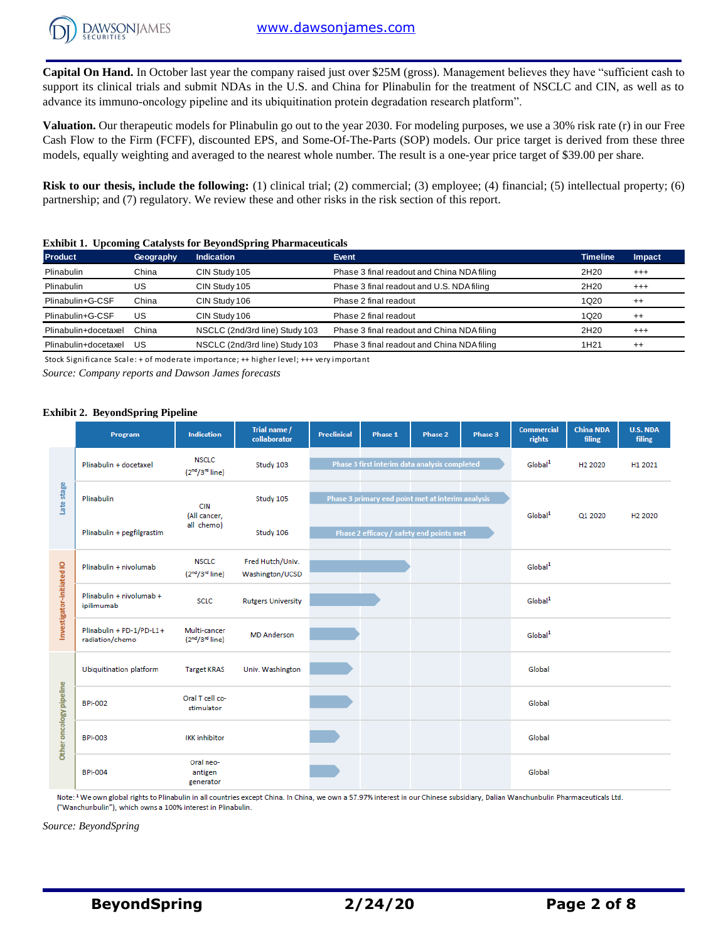**Capital On Hand.** In October last year the company raised just over \$25M (gross). Management believes they have "sufficient cash to support its clinical trials and submit NDAs in the U.S. and China for Plinabulin for the treatment of NSCLC and CIN, as well as to advance its immuno-oncology pipeline and its ubiquitination protein degradation research platform".

**Valuation.** Our therapeutic models for Plinabulin go out to the year 2030. For modeling purposes, we use a 30% risk rate (r) in our Free Cash Flow to the Firm (FCFF), discounted EPS, and Some-Of-The-Parts (SOP) models. Our price target is derived from these three models, equally weighting and averaged to the nearest whole number. The result is a one-year price target of \$39.00 per share.

**Risk to our thesis, include the following:** (1) clinical trial; (2) commercial; (3) employee; (4) financial; (5) intellectual property; (6) partnership; and (7) regulatory. We review these and other risks in the risk section of this report.

#### **Exhibit 1. Upcoming Catalysts for BeyondSpring Pharmaceuticals**

| <b>Product</b>       | Geography | <b>Indication</b>              | Event                                      | <b>Timeline</b>  | Impact   |
|----------------------|-----------|--------------------------------|--------------------------------------------|------------------|----------|
| Plinabulin           | China     | CIN Study 105                  | Phase 3 final readout and China NDA filing | 2H <sub>20</sub> | $^{+++}$ |
| Plinabulin           | US        | CIN Study 105                  | Phase 3 final readout and U.S. NDA filing  | 2H <sub>20</sub> | $^{+++}$ |
| Plinabulin+G-CSF     | China     | CIN Study 106                  | Phase 2 final readout                      | 1Q <sub>20</sub> | $^{++}$  |
| Plinabulin+G-CSF     | US        | CIN Study 106                  | Phase 2 final readout                      | 1Q <sub>20</sub> | $^{++}$  |
| Plinabulin+docetaxel | China     | NSCLC (2nd/3rd line) Study 103 | Phase 3 final readout and China NDA filing | 2H <sub>20</sub> | $^{+++}$ |
| Plinabulin+docetaxel | US        | NSCLC (2nd/3rd line) Study 103 | Phase 3 final readout and China NDA filing | 1H <sub>21</sub> | $^{++}$  |

Stock Significance Scale: + of moderate importance; ++ higher level; +++ very important

*Source: Company reports and Dawson James forecasts*

#### **Exhibit 2. BeyondSpring Pipeline**

|                           | Program                                     | <b>Indication</b>                                       | Trial name /<br>collaborator        | <b>Preclinical</b> | Phase 1 | Phase 2                                           | Phase 3 | <b>Commercial</b><br>rights | <b>China NDA</b><br>filing | U.S. NDA<br>filing  |
|---------------------------|---------------------------------------------|---------------------------------------------------------|-------------------------------------|--------------------|---------|---------------------------------------------------|---------|-----------------------------|----------------------------|---------------------|
|                           | Plinabulin + docetaxel                      | <b>NSCLC</b><br>$(2nd/3rd$ line)                        | Study 103                           |                    |         | Phase 3 first interim data analysis completed     |         | Global <sup>1</sup>         | H <sub>2</sub> 2020        | H1 2021             |
| Late stage                | Plinabulin                                  | <b>CIN</b>                                              | Study 105                           |                    |         | Phase 3 primary end point met at interim analysis |         |                             |                            |                     |
|                           | Plinabulin + pegfilgrastim                  | (All cancer,<br>all chemo)                              | Study 106                           |                    |         | Phase 2 efficacy / safety end points met          |         | Global <sup>1</sup>         | Q1 2020                    | H <sub>2</sub> 2020 |
|                           | Plinabulin + nivolumab                      | <b>NSCLC</b><br>(2 <sup>nd</sup> /3 <sup>rd</sup> line) | Fred Hutch/Univ.<br>Washington/UCSD |                    |         |                                                   |         | Global <sup>1</sup>         |                            |                     |
| Investigator-initiated IO | Plinabulin + nivolumab +<br>ipilimumab      | <b>SCLC</b>                                             | <b>Rutgers University</b>           |                    |         |                                                   |         | Global <sup>1</sup>         |                            |                     |
|                           | Plinabulin + PD-1/PD-L1+<br>radiation/chemo | Multi-cancer<br>(2 <sup>nd</sup> /3 <sup>rd</sup> line) | <b>MD</b> Anderson                  |                    |         |                                                   |         | Global <sup>1</sup>         |                            |                     |
|                           | Ubiquitination platform                     | <b>Target KRAS</b>                                      | Univ. Washington                    |                    |         |                                                   |         | Global                      |                            |                     |
| Other oncology pipeline   | <b>BPI-002</b>                              | Oral T cell co-<br>stimulator                           |                                     |                    |         |                                                   |         | Global                      |                            |                     |
|                           | <b>BPI-003</b>                              | <b>IKK</b> inhibitor                                    |                                     |                    |         |                                                   |         | Global                      |                            |                     |
|                           | <b>BPI-004</b>                              | Oral neo-<br>antigen<br>generator                       |                                     |                    |         |                                                   |         | Global                      |                            |                     |

Note: <sup>1</sup> We own global rights to Plinabulin in all countries except China. In China, we own a 57.97% interest in our Chinese subsidiary, Dalian Wanchunbulin Pharmaceuticals Ltd. ("Wanchunbulin"), which owns a 100% interest in Plinabulin.

*Source: BeyondSpring*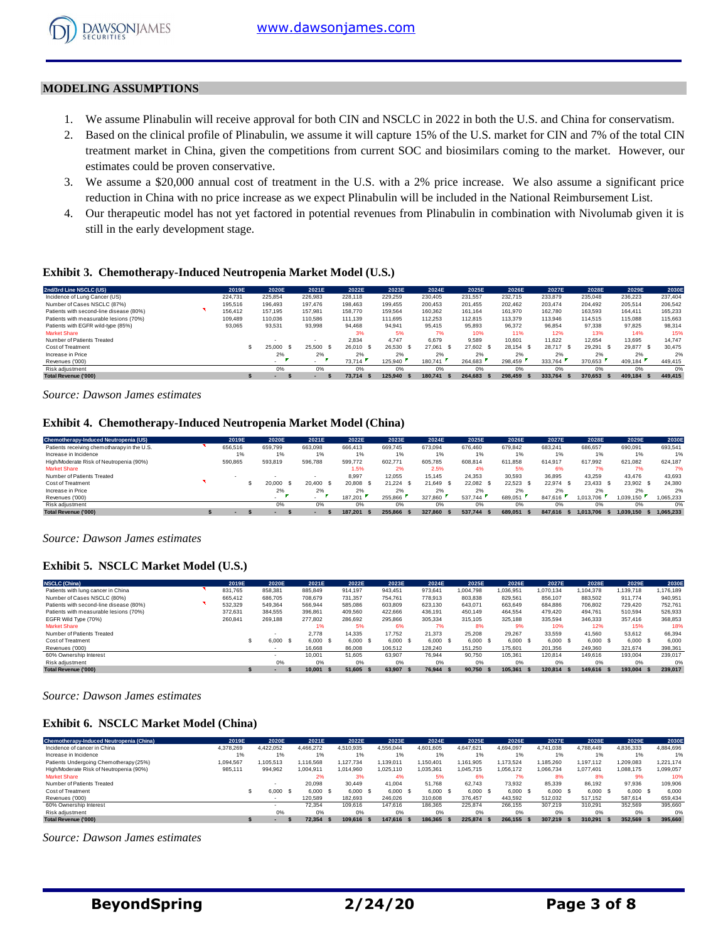#### **MODELING ASSUMPTIONS**

- 1. We assume Plinabulin will receive approval for both CIN and NSCLC in 2022 in both the U.S. and China for conservatism.
- 2. Based on the clinical profile of Plinabulin, we assume it will capture 15% of the U.S. market for CIN and 7% of the total CIN treatment market in China, given the competitions from current SOC and biosimilars coming to the market. However, our estimates could be proven conservative.
- 3. We assume a \$20,000 annual cost of treatment in the U.S. with a 2% price increase. We also assume a significant price reduction in China with no price increase as we expect Plinabulin will be included in the National Reimbursement List.
- 4. Our therapeutic model has not yet factored in potential revenues from Plinabulin in combination with Nivolumab given it is still in the early development stage.

#### **Exhibit 3. Chemotherapy-Induced Neutropenia Market Model (U.S.)**

| <b>Exhibit 3. Chemotherapy-Induced Neutropenia Market Model (U.S.)</b> |         |           |           |           |            |                |            |           |               |           |                |         |
|------------------------------------------------------------------------|---------|-----------|-----------|-----------|------------|----------------|------------|-----------|---------------|-----------|----------------|---------|
| 2nd/3rd Line NSCLC (US)                                                | 2019E   | 2020E     | 2021E     | 2022E     | 2023E      | 2024E          | 2025E      | 2026E     | 2027E         | 2028E     | 2029E          | 2030E   |
| Incidence of Lung Cancer (US)                                          | 224.731 | 225.854   | 226,983   | 228,118   | 229.259    | 230.405        | 231.557    | 232.715   | 233,879       | 235,048   | 236,223        | 237,404 |
| Number of Cases NSCLC (87%)                                            | 195,516 | 196.493   | 197.476   | 198.463   | 199.455    | 200.453        | 201.455    | 202.462   | 203.474       | 204.492   | 205.514        | 206.542 |
| Patients with second-line disease (80%)                                | 156,412 | 157.195   | 157.981   | 158,770   | 159.564    | 160.362        | 161.164    | 161.970   | 162.780       | 163.593   | 164.411        | 165.233 |
| Patients with measurable lesions (70%)                                 | 109,489 | 110.036   | 110,586   | 111.139   | 111.695    | 112.253        | 112.815    | 113.379   | 113,946       | 114.515   | 115,088        | 115,663 |
| Patients with EGFR wild-type (85%)                                     | 93,065  | 93,531    | 93.998    | 94.468    | 94.941     | 95.415         | 95.893     | 96.372    | 96.854        | 97.338    | 97.825         | 98,314  |
| <b>Market Share</b>                                                    |         |           |           | 3%        | 5%         | 7%             | 10%        | 11%       | 12%           | 13%       | 14%            | 15%     |
| Number of Patients Treated                                             |         |           |           | 2.834     | 4.747      | 6.679          | 9.589      | 10.601    | 11.622        | 12.654    | 13.695         | 14.747  |
| Cost of Treatment                                                      |         | 25,000 \$ | 25,500 \$ | 26.010 \$ | 26.530 \$  | 27.061<br>- \$ | 27.602 \$  | 28.154 \$ | 28.717 \$     | 29.291 \$ | 29.877<br>- \$ | 30.475  |
| Increase in Price                                                      |         | 2%        | 2%        | 2%        | 2%         | 2%             | 2%         | 2%        | 2%            | 2%        | 2%             | 2%      |
| Revenues ('000)                                                        |         |           | $\sim$    | 73.714    | 125.940    | 180.741        | 264.683    | 298,459   | 333.764       | 370.653   | 409.184        | 449,415 |
| Risk adjustment                                                        |         | 0%        | 0%        | 0%        | 0%         | 0%             | 0%         | 0%        | 0%            | 0%        | 0%             | 0%      |
| <b>Total Revenue ('000)</b>                                            |         |           |           | 73.714    | 125.940 \$ | 180.741        | 264.683 \$ | 298.459   | 333.764<br>-5 | 370.653   | 409.184        | 449.415 |
|                                                                        |         |           |           |           |            |                |            |           |               |           |                |         |

*Source: Dawson James estimates*

#### **Exhibit 4. Chemotherapy-Induced Neutropenia Market Model (China)**

| Source: Dawson James estimates                                          |  |         |                |              |           |             |                |            |           |               |           |                   |           |  |
|-------------------------------------------------------------------------|--|---------|----------------|--------------|-----------|-------------|----------------|------------|-----------|---------------|-----------|-------------------|-----------|--|
| <b>Exhibit 4. Chemotherapy-Induced Neutropenia Market Model (China)</b> |  |         |                |              |           |             |                |            |           |               |           |                   |           |  |
| Chemotherapy-Induced Neutropenia (US)                                   |  | 2019E   | 2020E          | 2021E        | 2022E     | 2023E       | 2024E          | 2025E      | 2026E     | 2027E         | 2028E     | 2029E             | 2030E     |  |
| Patients receiving chemotharapy in the U.S.                             |  | 656,516 | 659.799        | 663,098      | 666.413   | 669.745     | 673.094        | 676.460    | 679.842   | 683.241       | 686,657   | 690.091           | 693,541   |  |
| Increase in Incidence                                                   |  | 1%      | 1%             | 1%           | 1%        | 1%          | 1%             | 1%         | 1%        | 1%            | 1%        | 1%                | 1%        |  |
| High/Moderate Risk of Neutropenia (90%)                                 |  | 590,865 | 593,819        | 596,788      | 599,772   | 602,771     | 605.785        | 608.814    | 611.858   | 614.917       | 617.992   | 621.082           | 624.187   |  |
| <b>Market Share</b>                                                     |  |         |                |              | 1.5%      | 2%          | 2.5%           | 4%         | 5%        | 6%            | 7%        | 7%                | 7%        |  |
| Number of Patients Treated                                              |  |         |                |              | 8,997     | 12.055      | 15.145         | 24.353     | 30,593    | 36,895        | 43.259    | 43.476            | 43,693    |  |
| Cost of Treatment                                                       |  |         | 20,000<br>- \$ | 20.400<br>-S | 20.808 \$ | $21.224$ \$ | 21.649<br>- \$ | 22.082 \$  | 22.523 \$ | 22.974 \$     | 23.433 \$ | 23.902 \$         | 24,380    |  |
| Increase in Price                                                       |  |         | 2%             | 2%           | 2%        | 2%          | 2%             | 2%         | 2%        | 2%            | 2%        | 2%                | 2%        |  |
| Revenues ('000)                                                         |  |         | $\sim$         | $\sim$       | 187.201   | 255,866     | 327,860        | 537.744    | 689.051   | 847.616       | 1.013.706 | 1.039.150         | 1,065,233 |  |
| Risk adjustment                                                         |  |         | 0%             | 0%           | 0%        | 0%          | 0%             | 0%         | 0%        | 0%            | 0%        | 0%                | 0%        |  |
| <b>Total Revenue ('000)</b>                                             |  |         |                |              | 187.201   | 255.866     | 327.860        | 537.744 \$ | 689.051   | 847.616<br>s. | 1.013.706 | 1.039.150<br>- 55 | 1.065.233 |  |
|                                                                         |  |         |                |              |           |             |                |            |           |               |           |                   |           |  |

*Source: Dawson James estimates*

#### **Exhibit 5. NSCLC Market Model (U.S.)**

| <b>Exhibit 5. NSCLC Market Model (U.S.)</b> |         |                          |             |         |           |         |         |     |           |           |      |            |            |                 |           |
|---------------------------------------------|---------|--------------------------|-------------|---------|-----------|---------|---------|-----|-----------|-----------|------|------------|------------|-----------------|-----------|
| <b>NSCLC (China)</b>                        | 2019E   | 2020E                    | 2021E       | 2022E   | 2023E     |         | 2024E   |     | 2025E     | 2026E     |      | 2027E      | 2028E      | 2029E           | 2030E     |
| Patients with lung cancer in China          | 831.765 | 858.381                  | 885,849     | 914.197 | 943.451   | 973.641 |         |     | 1.004.798 | 1.036.951 |      | 1.070.134  | 1.104.378  | 1.139.718       | 1,176,189 |
| Number of Cases NSCLC (80%)                 | 665.412 | 686,705                  | 708,679     | 731.357 | 754.761   | 778,913 |         |     | 803.838   | 829.561   |      | 856.107    | 883.502    | 911.774         | 940.951   |
| Patients with second-line disease (80%)     | 532,329 | 549.364                  | 566,944     | 585.086 | 603,809   | 623,130 |         |     | 643.071   | 663.649   |      | 684.886    | 706.802    | 729,420         | 752.761   |
| Patients with measurable lesions (70%)      | 372,631 | 384,555                  | 396,861     | 409,560 | 422,666   | 436,191 |         |     | 450,149   | 464,554   |      | 479,420    | 494,761    | 510,594         | 526,933   |
| EGFR Wild Type (70%)                        | 260.841 | 269,188                  | 277,802     | 286.692 | 295.866   | 305,334 |         |     | 315,105   | 325.188   |      | 335.594    | 346,333    | 357,416         | 368,853   |
| <b>Market Share</b>                         |         |                          | 1%          | 5%      | 6%        |         | 7%      |     | 8%        | 9%        |      | 10%        | 12%        | 15%             | 18%       |
| Number of Patients Treated                  |         |                          | 2.778       | 14.335  | 17.752    |         | 21.373  |     | 25.208    | 29.267    |      | 33.559     | 41.560     | 53.612          | 66,394    |
| Cost of Treatment                           |         | 6.000 S                  | 6.000 S     | 6.000 S | 6.000 S   |         | 6.000 S |     | 6.000 S   | 6.000 \$  |      | 6.000 S    | 6.000 S    | 6.000 S         | 6,000     |
| Revenues ('000)                             |         |                          | 16.668      | 86,008  | 106.512   | 128,240 |         |     | 151.250   | 175,601   |      | 201.356    | 249.360    | 321.674         | 398,361   |
| 60% Ownership Interest                      |         |                          | 10.001      | 51.605  | 63.907    |         | 76.944  |     | 90,750    | 105.361   |      | 120,814    | 149,616    | 193.004         | 239,017   |
| Risk adjustment                             |         | 0%                       | $0\%$       | 0%      | 0%        |         | 0%      |     | 0%        | 0%        |      | 0%         | 0%         | 0%              | 0%        |
| Total Revenue ('000)                        |         | $\overline{\phantom{a}}$ | $10,001$ \$ | 51.605  | 63,907 \$ |         | 76.944  | - S | 90.750 \$ | 105,361   | - 55 | 120.814 \$ | 149.616 \$ | 193,004<br>- 55 | 239,017   |
|                                             |         |                          |             |         |           |         |         |     |           |           |      |            |            |                 |           |

*Source: Dawson James estimates*

#### **Exhibit 6. NSCLC Market Model (China)**

| Source: Dawson James estimates               |           |           |                          |           |           |                 |           |      |            |            |      |            |      |           |            |      |           |
|----------------------------------------------|-----------|-----------|--------------------------|-----------|-----------|-----------------|-----------|------|------------|------------|------|------------|------|-----------|------------|------|-----------|
| <b>Exhibit 6. NSCLC Market Model (China)</b> |           |           |                          |           |           |                 |           |      |            |            |      |            |      |           |            |      |           |
| Chemotherapy-Induced Neutropenia (China)     | 2019E     |           | 2020E                    | 2021E     | 2022E     | 2023E           | 2024E     |      | 2025E      | 2026E      |      | 2027E      |      | 2028E     | 2029E      |      | 2030E     |
| Incidence of cancer in China                 | 4,378,269 | 4,422,052 |                          | 4,466,272 | 4,510,935 | 4,556,044       | 4,601,605 |      | 4,647,621  | 4,694,097  |      | 4,741,038  |      | 4,788,449 | 4,836,333  |      | 4,884,696 |
| Increase in Incidence                        | 1%        |           | 1%                       | 1%        | 1%        | 1%              | 1%        |      | 1%         | 1%         |      | 1%         |      | 1%        | 1%         |      | 1%        |
| Patients Undergoing Chemotherapy (25%)       | 1,094,567 | 1,105,513 |                          | 1,116,568 | 1.127.734 | 1,139,011       | 1,150,401 |      | 161,905    | 1,173,524  |      | 1,185,260  |      | 1.197.112 | 1,209,083  |      | 1,221,174 |
| High/Moderate Risk of Neutropenia (90%)      | 985.111   | 994,962   |                          | 1.004.911 | 1,014,960 | 1.025.110       | 1,035,361 |      | 1.045.715  | 1,056,172  |      | 1,066,734  |      | 1.077.401 | 1,088,175  |      | 1,099,057 |
| <b>Market Share</b>                          |           |           |                          | 2%        | 3%        | 4%              | 5%        |      | 6%         | 7%         |      | 8%         |      | 8%        | 9%         |      | 10%       |
| Number of Patients Treated                   |           |           |                          | 20.098    | 30.449    | 41.004          | 51.768    |      | 62.743     | 73.932     |      | 85.339     |      | 86.192    | 97,936     |      | 109,906   |
| Cost of Treatment                            |           |           | 6.000 S                  | 6.000 S   | 6.000 S   | $6,000$ \$      | 6,000 \$  |      | 6.000 S    | $6,000$ \$ |      | $6,000$ \$ |      | 6.000 S   | $6,000$ \$ |      | 6,000     |
| Revenues ('000)                              |           |           |                          | 120,589   | 182.693   | 246,026         | 310,608   |      | 376.457    | 443.592    |      | 512.032    |      | 517.152   | 587,614    |      | 659,434   |
| 60% Ownership Interest                       |           |           |                          | 72.354    | 109,616   | 147,616         | 186,365   |      | 225.874    | 266.155    |      | 307.219    |      | 310.291   | 352,569    |      | 395,660   |
| Risk adjustment                              |           |           | 0%                       | 0%        | 0%        | 0%              | 0%        |      | 0%         | 0%         |      | 0%         |      | 0%        | 0%         |      | 0%        |
| <b>Total Revenue ('000)</b>                  |           |           | $\overline{\phantom{a}}$ | 72.354 \$ | 109.616   | 147.616<br>- 55 | 186.365   | - 55 | 225.874 \$ | 266.155    | - 55 | 307.219    | - 55 | 310.291   | 352,569    | - 56 | 395,660   |
|                                              |           |           |                          |           |           |                 |           |      |            |            |      |            |      |           |            |      |           |

*Source: Dawson James estimates*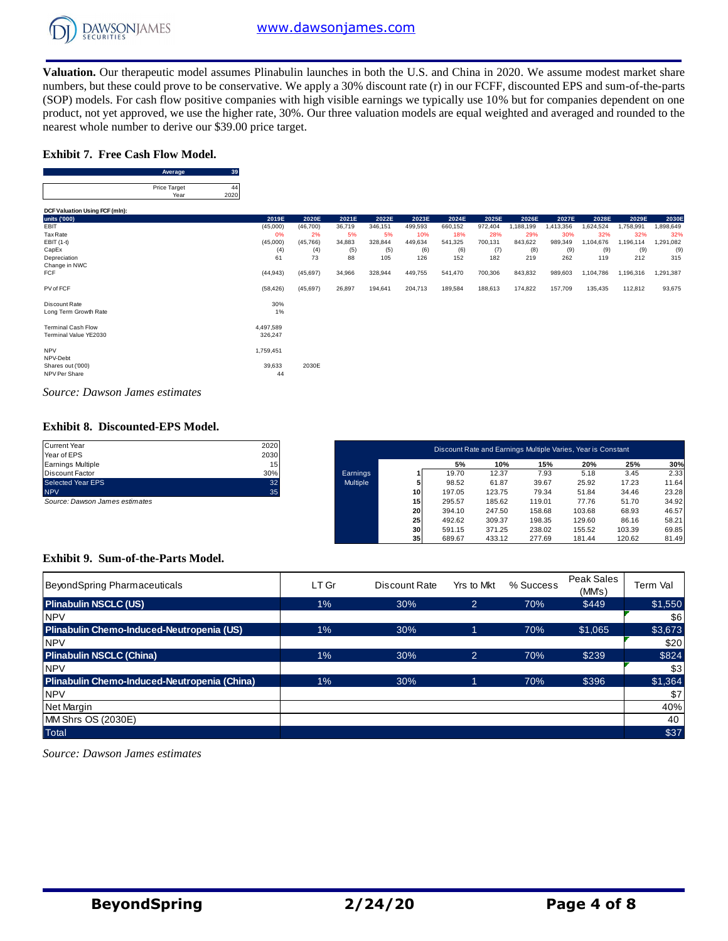

**Valuation.** Our therapeutic model assumes Plinabulin launches in both the U.S. and China in 2020. We assume modest market share numbers, but these could prove to be conservative. We apply a 30% discount rate (r) in our FCFF, discounted EPS and sum-of-the-parts (SOP) models. For cash flow positive companies with high visible earnings we typically use 10% but for companies dependent on one product, not yet approved, we use the higher rate, 30%. Our three valuation models are equal weighted and averaged and rounded to the nearest whole number to derive our \$39.00 price target. **A** we use the high derive our \$39.0<br> **Average** 39<br> **39**<br> **Average** 39

#### **Exhibit 7. Free Cash Flow Model.**

| nearest whole number to derive our \$39.00 |                             |    |
|--------------------------------------------|-----------------------------|----|
| <b>Exhibit 7. Free Cash Flow Model.</b>    |                             |    |
|                                            |                             |    |
|                                            | Average                     | 39 |
|                                            | <b>Price Target</b><br>Year |    |

|                                        | Average                     | -39        |           |           |        |         |         |         |         |           |           |           |           |           |
|----------------------------------------|-----------------------------|------------|-----------|-----------|--------|---------|---------|---------|---------|-----------|-----------|-----------|-----------|-----------|
|                                        | Price Target<br>Year        | 44<br>2020 |           |           |        |         |         |         |         |           |           |           |           |           |
| DCF Valuation Using FCF (mln):         |                             |            |           |           |        |         |         |         |         |           |           |           |           |           |
| units ('000)                           |                             |            | 2019E     | 2020E     | 2021E  | 2022E   | 2023E   | 2024E   | 2025E   | 2026E     | 2027E     | 2028E     | 2029E     | 2030E     |
| EBIT                                   |                             |            | (45,000)  | (46, 700) | 36,719 | 346,151 | 499,593 | 660,152 | 972,404 | 1,188,199 | 1,413,356 | 1,624,524 | 1,758,991 | 1,898,649 |
| Tax Rate                               |                             |            | 0%        | 2%        | 5%     | 5%      | 10%     | 18%     | 28%     | 29%       | 30%       | 32%       | 32%       | 32%       |
| EBIT (1-t)                             |                             |            | (45,000)  | (45, 766) | 34,883 | 328,844 | 449,634 | 541,325 | 700,131 | 843,622   | 989,349   | 1,104,676 | 1,196,114 | 1,291,082 |
| CapEx                                  |                             |            | (4)       | (4)       | (5)    | (5)     | (6)     | (6)     | (7)     | (8)       | (9)       | (9)       | (9)       | (9)       |
| Depreciation                           |                             |            | 61        | 73        | 88     | 105     | 126     | 152     | 182     | 219       | 262       | 119       | 212       | 315       |
| Change in NWC                          |                             |            |           |           |        |         |         |         |         |           |           |           |           |           |
| <b>FCF</b>                             |                             |            | (44, 943) | (45, 697) | 34,966 | 328,944 | 449,755 | 541,470 | 700,306 | 843,832   | 989,603   | 1,104,786 | 1,196,316 | 1,291,387 |
| PV of FCF                              |                             |            | (58, 426) | (45, 697) | 26,897 | 194,641 | 204,713 | 189,584 | 188,613 | 174,822   | 157,709   | 135,435   | 112,812   | 93,675    |
| Discount Rate                          |                             |            | 30%       |           |        |         |         |         |         |           |           |           |           |           |
| Long Term Growth Rate                  |                             |            | $1\%$     |           |        |         |         |         |         |           |           |           |           |           |
| <b>Terminal Cash Flow</b>              |                             |            | 4,497,589 |           |        |         |         |         |         |           |           |           |           |           |
| Terminal Value YE2030                  |                             |            | 326,247   |           |        |         |         |         |         |           |           |           |           |           |
|                                        |                             |            |           |           |        |         |         |         |         |           |           |           |           |           |
| <b>NPV</b>                             |                             |            | 1,759,451 |           |        |         |         |         |         |           |           |           |           |           |
| NPV-Debt                               |                             |            |           |           |        |         |         |         |         |           |           |           |           |           |
| Shares out ('000)                      |                             |            | 39,633    | 2030E     |        |         |         |         |         |           |           |           |           |           |
| NPV Per Share                          |                             |            | 44        |           |        |         |         |         |         |           |           |           |           |           |
|                                        |                             |            |           |           |        |         |         |         |         |           |           |           |           |           |
| $\sim$<br>$\mathbf{r}$<br>$\mathbf{r}$ | $\sim$ $\sim$ $\sim$ $\sim$ |            |           |           |        |         |         |         |         |           |           |           |           |           |

*Source: Dawson James estimates*

#### **Exhibit 8. Discounted-EPS Model.**

| <b>Current Year</b>                     | 2020                    |          |    |        |        |        | Discount Rate and Earnings Multiple Varies, Year is Constant |        |       |
|-----------------------------------------|-------------------------|----------|----|--------|--------|--------|--------------------------------------------------------------|--------|-------|
| Year of EPS<br><b>Earnings Multiple</b> | 2030<br>15 <sub>1</sub> |          |    | 5%     | 10%    | 15%    | 20%                                                          | 25%    | 30%   |
| Discount Factor                         | 30%                     | Earnings |    | 19.70  | 12.37  | 7.93   | 5.18                                                         | 3.45   | 2.33  |
| Selected Year EPS                       | 32                      | Multiple |    | 98.52  | 61.87  | 39.67  | 25.92                                                        | 17.23  | 11.64 |
| <b>NPV</b>                              | 35                      |          | 10 | 197.05 | 123.75 | 79.34  | 51.84                                                        | 34.46  | 23.28 |
| Source: Dawson James estimates          |                         |          | 15 | 295.57 | 185.62 | 119.01 | 77.76                                                        | 51.70  | 34.92 |
|                                         |                         |          | 20 | 394.10 | 247.50 | 158.68 | 103.68                                                       | 68.93  | 46.57 |
|                                         |                         |          | 25 | 492.62 | 309.37 | 198.35 | 129.60                                                       | 86.16  | 58.21 |
|                                         |                         |          | 30 | 591.15 | 371.25 | 238.02 | 155.52                                                       | 103.39 | 69.85 |
|                                         |                         |          | 35 | 689.67 | 433.12 | 277.69 | 181.44                                                       | 120.62 | 81.49 |

#### **Exhibit 9. Sum-of-the-Parts Model.**

| Exhibit 9. Sum-of-the-Parts Model.           |       |               |                |           |                      |          |
|----------------------------------------------|-------|---------------|----------------|-----------|----------------------|----------|
| BeyondSpring Pharmaceuticals                 | LT Gr | Discount Rate | Yrs to Mkt     | % Success | Peak Sales<br>(MM's) | Term Val |
| <b>Plinabulin NSCLC (US)</b>                 | 1%    | 30%           | $\overline{2}$ | 70%       | \$449                | \$1,550  |
| <b>NPV</b>                                   |       |               |                |           |                      | \$6      |
| Plinabulin Chemo-Induced-Neutropenia (US)    | $1\%$ | 30%           |                | 70%       | \$1,065              | \$3,673  |
| <b>NPV</b>                                   |       |               |                |           |                      | \$20     |
| <b>Plinabulin NSCLC (China)</b>              | $1\%$ | 30%           | $\overline{2}$ | 70%       | \$239                | \$824    |
| <b>NPV</b>                                   |       |               |                |           |                      | \$3      |
| Plinabulin Chemo-Induced-Neutropenia (China) | 1%    | 30%           |                | 70%       | \$396                | \$1,364  |
| <b>NPV</b>                                   |       |               |                |           |                      | \$7      |
| Net Margin                                   |       |               |                |           |                      | 40%      |
| MM Shrs OS (2030E)                           |       |               |                |           |                      | 40       |
| <b>Total</b>                                 |       |               |                |           |                      | \$37     |

*Source: Dawson James estimates*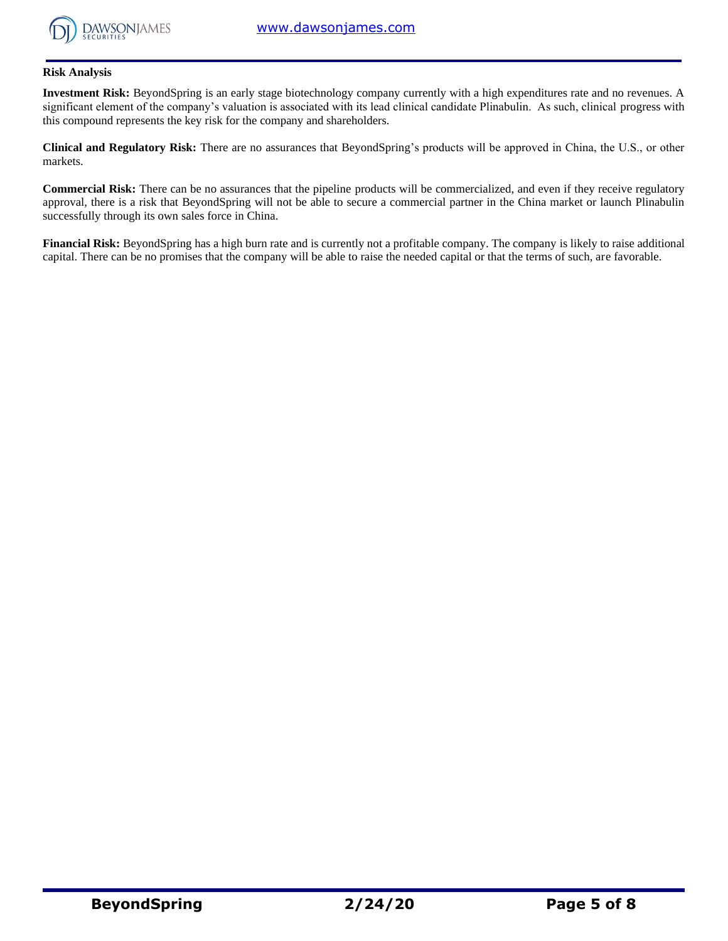

#### **Risk Analysis**

**Investment Risk:** BeyondSpring is an early stage biotechnology company currently with a high expenditures rate and no revenues. A significant element of the company's valuation is associated with its lead clinical candidate Plinabulin. As such, clinical progress with this compound represents the key risk for the company and shareholders.

**Clinical and Regulatory Risk:** There are no assurances that BeyondSpring's products will be approved in China, the U.S., or other markets.

**Commercial Risk:** There can be no assurances that the pipeline products will be commercialized, and even if they receive regulatory approval, there is a risk that BeyondSpring will not be able to secure a commercial partner in the China market or launch Plinabulin successfully through its own sales force in China.

**Financial Risk:** BeyondSpring has a high burn rate and is currently not a profitable company. The company is likely to raise additional capital. There can be no promises that the company will be able to raise the needed capital or that the terms of such, are favorable.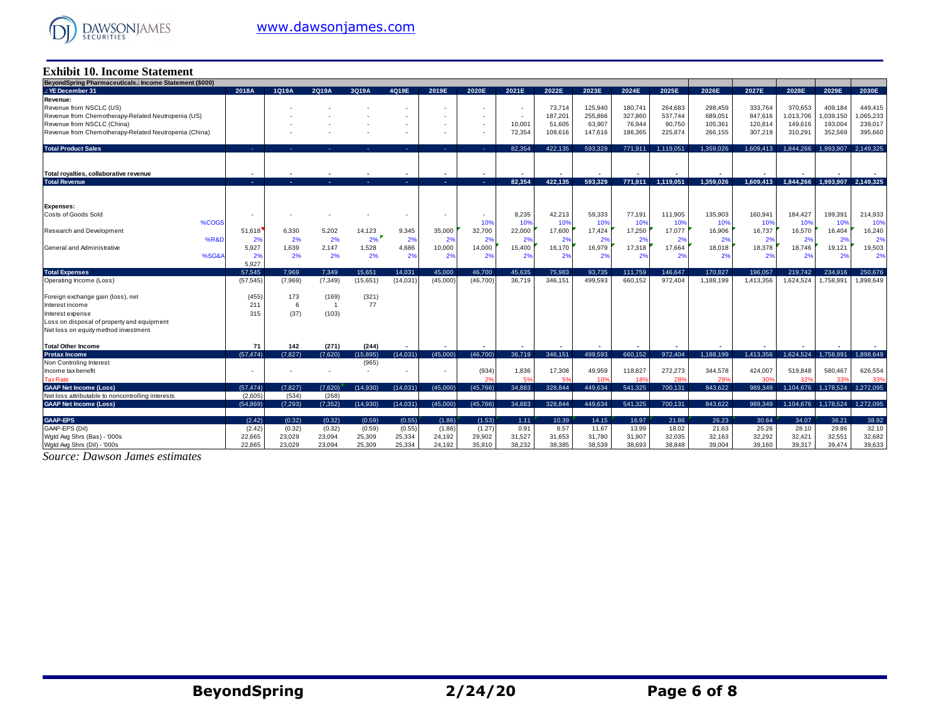

#### **Exhibit 10. Income Statement**

| BeyondSpring Pharmaceuticals.: Income Statement (\$000)                            |                          |          |                |                   |                  |                  |                  |                          |         |                |         |                |                |           |                |                     |                |
|------------------------------------------------------------------------------------|--------------------------|----------|----------------|-------------------|------------------|------------------|------------------|--------------------------|---------|----------------|---------|----------------|----------------|-----------|----------------|---------------------|----------------|
| .: YE December 31                                                                  | 2018A                    | 1Q19A    | 2Q19A          | 3Q19A             | 4Q19E            | 2019E            | 2020E            | 2021E                    | 2022E   | 2023E          | 2024E   | 2025E          | 2026E          | 2027E     | 2028E          | 2029E               | 2030E          |
| Revenue:                                                                           |                          |          |                |                   |                  |                  |                  |                          |         |                |         |                |                |           |                |                     |                |
| Revenue from NSCLC (US)                                                            |                          |          |                |                   |                  |                  |                  | $\overline{\phantom{a}}$ | 73,714  | 125,940        | 180,741 | 264.683        | 298,459        | 333,764   | 370,653        | 409,184             | 449,415        |
| Revenue from Chemotherapy-Related Neutropenia (US)                                 |                          |          |                |                   |                  |                  |                  | $\overline{\phantom{a}}$ | 187,201 | 255,866        | 327,860 | 537.744        | 689,051        | 847,616   | 1,013,706      | 1,039,150           | 1,065,233      |
| Revenue from NSCLC (China)                                                         |                          |          |                |                   |                  |                  |                  | 10,001                   | 51.605  | 63.907         | 76.944  | 90,750         | 105.361        | 120,814   | 149.616        | 193,004             | 239,017        |
| Revenue from Chemotherapy-Related Neutropenia (China)                              |                          |          |                |                   |                  |                  |                  | 72,354                   | 109,616 | 147,616        | 186,365 | 225,874        | 266,155        | 307,219   | 310,291        | 352,569             | 395,660        |
|                                                                                    |                          |          |                |                   |                  |                  |                  |                          |         |                |         |                |                |           |                |                     |                |
| <b>Total Product Sales</b>                                                         | ×.                       |          |                |                   | A.               |                  |                  | 82.354                   | 422.135 | 593.329        | 771.911 | 1.119.051      | 1.359.026      | 1.609.413 | 1.844.266      | 1.993.907           | 2.149.325      |
|                                                                                    |                          |          |                |                   |                  |                  |                  |                          |         |                |         |                |                |           |                |                     |                |
|                                                                                    |                          |          |                |                   |                  |                  |                  |                          |         |                |         |                |                |           |                |                     |                |
| Total rovalties, collaborative revenue                                             |                          |          |                |                   |                  |                  |                  |                          |         |                |         |                |                |           |                |                     |                |
| <b>Total Revenue</b>                                                               | 14.                      | and the  | х.             | ×.                | 14.1             | $\sim$           | $\sim 10$        | 82.354                   | 422.135 | 593.329        | 771,911 | 1,119,051      | 1.359.026      | 1,609,413 | 1,844,266      | 1,993,907 2,149,325 |                |
|                                                                                    |                          |          |                |                   |                  |                  |                  |                          |         |                |         |                |                |           |                |                     |                |
|                                                                                    |                          |          |                |                   |                  |                  |                  |                          |         |                |         |                |                |           |                |                     |                |
| <b>Expenses:</b>                                                                   |                          |          |                |                   |                  |                  |                  |                          |         |                |         |                |                |           |                |                     |                |
| Costs of Goods Sold                                                                | $\overline{\phantom{a}}$ |          |                |                   |                  |                  |                  | 8,235                    | 42,213  | 59,333         | 77,191  | 111,905        | 135,903        | 160,941   | 184,427        | 199,391             | 214,933        |
| %COGS                                                                              |                          |          |                |                   |                  |                  | 10%              | 10%                      | 10%     | 109            | 10%     | 10%            | 10%            | 10%       | 10%            | 10%                 | 10%            |
| Research and Development                                                           | 51,618                   | 6,330    | 5.202          | 14,123            | 9,345            | 35,000           | 32,700           | 22,000                   | 17,600  | 17,424         | 17,250  | 17,077         | 16,906         | 16,737    | 16,570         | 16,404              | 16,240         |
| %R&D                                                                               | 2%                       | 2%       | 2%             | 2%                | 2%               | 2%               | 2%               | 2%                       | 2%      | 2 <sup>9</sup> | 2%      | 2%             | 2%             | 2%        | 2 <sup>9</sup> | 2%                  | 2%             |
| General and Administrative                                                         | 5,927                    | 1,639    | 2,147          | 1,528             | 4,686            | 10,000           | 14,000           | 15,400                   | 16,170  | 16,979         | 17,318  | 17,664         | 18,018         | 18,378    | 18,746         | 19,121              | 19,503         |
| %SG&                                                                               | 2%                       | 2%       | 2%             | 2%                | 2%               | 2%               | 2%               | 2%                       | 2%      | 2%             | 2%      | 2%             | 2%             | 2%        | 2%             | 2%                  | 2%             |
|                                                                                    | 5,927                    |          |                |                   |                  |                  |                  |                          |         |                |         |                |                |           |                |                     |                |
| <b>Total Expenses</b>                                                              | 57.545                   | 7.969    | 7.349          | 15.651            | 14.031           | 45,000           | 46.700           | 45.635                   | 75.983  | 93.735         | 111.759 | 146.647        | 170.827        | 196.057   | 219.742        | 234.916             | 250.676        |
| Operating Income (Loss)                                                            | (57, 545)                | (7,969)  | (7, 349)       | (15,651)          | (14, 031)        | (45,000)         | (46.700)         | 36.719                   | 346.151 | 499.593        | 660.152 | 972.404        | 1.188.199      | 1.413.356 | 1.624.524      | 1.758.991           | 1.898.649      |
|                                                                                    |                          |          |                |                   |                  |                  |                  |                          |         |                |         |                |                |           |                |                     |                |
| Foreign exchange gain (loss), net                                                  | (455)                    | 173      | (169)          | (321)             |                  |                  |                  |                          |         |                |         |                |                |           |                |                     |                |
| Interest income                                                                    | 211                      | 6        | $\overline{1}$ | 77                |                  |                  |                  |                          |         |                |         |                |                |           |                |                     |                |
| Interest expense                                                                   | 315                      | (37)     | (103)          |                   |                  |                  |                  |                          |         |                |         |                |                |           |                |                     |                |
| Loss on disposal of property and equipment                                         |                          |          |                |                   |                  |                  |                  |                          |         |                |         |                |                |           |                |                     |                |
| Net loss on equity method investment                                               |                          |          |                |                   |                  |                  |                  |                          |         |                |         |                |                |           |                |                     |                |
|                                                                                    |                          |          |                |                   |                  |                  |                  |                          |         |                |         |                |                |           |                |                     |                |
| <b>Total Other Income</b>                                                          | 71                       | 142      | (271)          | (244)             | $\sim$           |                  |                  |                          |         |                |         |                |                |           |                |                     |                |
| <b>Pretax Income</b><br>Non Controling Interest                                    | (57, 474)                | (7,827)  | (7.620)        | (15.895)<br>(965) | (14.031)         | (45,000)         | (46,700)         | 36,719                   | 346.151 | 499.593        | 660,152 | 972.404        | 1.188.199      | 1.413.356 | 1.624.524      | 1.758.991           | 1.898.649      |
|                                                                                    |                          |          |                |                   |                  |                  |                  |                          |         |                |         |                |                |           |                |                     |                |
| Income tax benefit                                                                 |                          |          |                |                   |                  |                  | (934)<br>2%      | 1,836<br>5%              | 17,308  | 49,959         | 118,827 | 272,273<br>28% | 344,578<br>29% | 424,007   | 519,848        | 580,467             | 626,554<br>33% |
| <b>Tax Rate</b>                                                                    |                          |          |                |                   |                  |                  |                  |                          | 5%      | 10%            | 18%     |                |                | 30%       | 329            | 33%                 |                |
| <b>GAAP Net Income (Loss)</b>                                                      | (57, 474)                | (7, 827) | (7.620)        | (14.930)          | (14, 031)        | (45,000)         | (45, 766)        | 34,883                   | 328.844 | 449.634        | 541,325 | 700,131        | 843.622        | 989.349   | 1,104,676      | 1,178,524           | 1.272.095      |
| Net loss attributable to noncontrolling interests<br><b>GAAP Net Income (Loss)</b> | (2.605)                  | (534)    | (268)          |                   |                  |                  |                  |                          |         |                | 541.325 |                |                |           |                |                     | 1.272.095      |
|                                                                                    | (54.869)                 | (7, 293) | (7, 352)       | (14.930)          | (14,031)         | (45,000)         | (45.766)         | 34.883                   | 328.844 | 449.634        |         | 700,131        | 843.622        | 989.349   |                | 1.104.676 1.178.524 |                |
| <b>GAAP-EPS</b>                                                                    | (2.42)                   | (0.32)   | (0.32)         | (0.59)            |                  |                  |                  |                          | 10.39   | 14.15          | 16.97   | 21.86          | 26.23          | 30.64     | 34.07          | 36.21               | 38.92          |
| GAAP-EPS (Dil)                                                                     |                          |          |                |                   | (0.55)<br>(0.55) | (1.86)<br>(1.86) | (1.53)<br>(1.27) | 1.11                     |         |                |         |                | 21.63          |           |                |                     | 32.10          |
|                                                                                    | (2.42)                   | (0.32)   | (0.32)         | (0.59)            |                  |                  |                  | 0.91                     | 8.57    | 11.67          | 13.99   | 18.02          |                | 25.26     | 28.10          | 29.86               | 32,682         |
| Wgtd Avg Shrs (Bas) - '000s                                                        | 22,665                   | 23,029   | 23,094         | 25,309            | 25,334           | 24,192           | 29,902           | 31,527                   | 31,653  | 31,780         | 31,907  | 32,035         | 32,163         | 32,292    | 32,421         | 32,551              |                |
| Wgtd Avg Shrs (Dil) - '000s                                                        | 22.665                   | 23.029   | 23.094         | 25.309            | 25.334           | 24.192           | 35.910           | 38.232                   | 38.385  | 38.539         | 38.693  | 38.848         | 39.004         | 39,160    | 39.317         | 39.474              | 39.633         |

*Source: Dawson James estimates*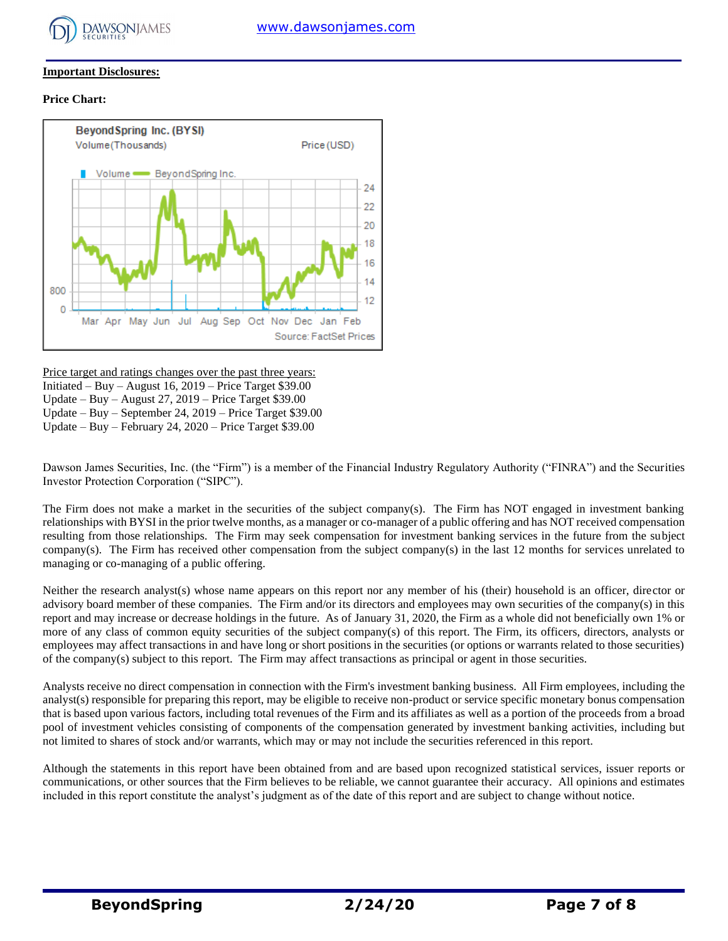

#### **Important Disclosures:**

#### **Price Chart:**



Price target and ratings changes over the past three years: Initiated – Buy – August 16, 2019 – Price Target \$39.00 Update – Buy – August 27, 2019 – Price Target \$39.00 Update – Buy – September 24, 2019 – Price Target \$39.00 Update – Buy – February 24, 2020 – Price Target \$39.00

Dawson James Securities, Inc. (the "Firm") is a member of the Financial Industry Regulatory Authority ("FINRA") and the Securities Investor Protection Corporation ("SIPC").

The Firm does not make a market in the securities of the subject company(s). The Firm has NOT engaged in investment banking relationships with BYSI in the prior twelve months, as a manager or co-manager of a public offering and has NOT received compensation resulting from those relationships. The Firm may seek compensation for investment banking services in the future from the subject company(s). The Firm has received other compensation from the subject company(s) in the last 12 months for services unrelated to managing or co-managing of a public offering.

Neither the research analyst(s) whose name appears on this report nor any member of his (their) household is an officer, director or advisory board member of these companies. The Firm and/or its directors and employees may own securities of the company(s) in this report and may increase or decrease holdings in the future. As of January 31, 2020, the Firm as a whole did not beneficially own 1% or more of any class of common equity securities of the subject company(s) of this report. The Firm, its officers, directors, analysts or employees may affect transactions in and have long or short positions in the securities (or options or warrants related to those securities) of the company(s) subject to this report. The Firm may affect transactions as principal or agent in those securities.

Analysts receive no direct compensation in connection with the Firm's investment banking business. All Firm employees, including the analyst(s) responsible for preparing this report, may be eligible to receive non-product or service specific monetary bonus compensation that is based upon various factors, including total revenues of the Firm and its affiliates as well as a portion of the proceeds from a broad pool of investment vehicles consisting of components of the compensation generated by investment banking activities, including but not limited to shares of stock and/or warrants, which may or may not include the securities referenced in this report.

Although the statements in this report have been obtained from and are based upon recognized statistical services, issuer reports or communications, or other sources that the Firm believes to be reliable, we cannot guarantee their accuracy. All opinions and estimates included in this report constitute the analyst's judgment as of the date of this report and are subject to change without notice.